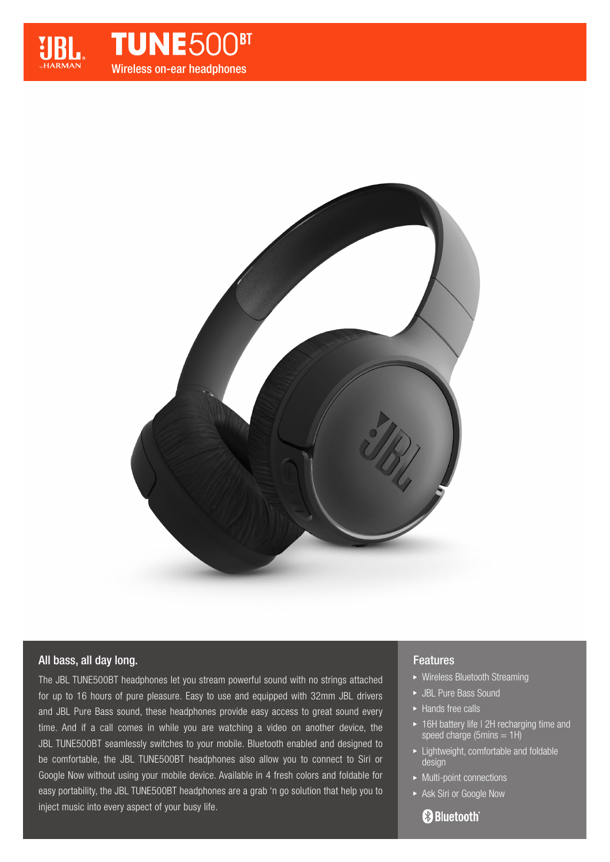

**TUNE500<sup>BT</sup>** Wireless on-ear headphones



## All bass, all day long.

The JBL TUNE500BT headphones let you stream powerful sound with no strings attached for up to 16 hours of pure pleasure. Easy to use and equipped with 32mm JBL drivers and JBL Pure Bass sound, these headphones provide easy access to great sound every time. And if a call comes in while you are watching a video on another device, the JBL TUNE500BT seamlessly switches to your mobile. Bluetooth enabled and designed to be comfortable, the JBL TUNE500BT headphones also allow you to connect to Siri or Google Now without using your mobile device. Available in 4 fresh colors and foldable for easy portability, the JBL TUNE500BT headphones are a grab 'n go solution that help you to inject music into every aspect of your busy life.

## Features

- Wireless Bluetooth Streaming
- ► JBL Pure Bass Sound
- ► Hands free calls
- ▶ 16H battery life I 2H recharging time and speed charge (5 $mins = 1H$ )
- Lightweight, comfortable and foldable design
- ▶ Multi-point connections
- Ask Siri or Google Now

# **83 Bluetooth**®